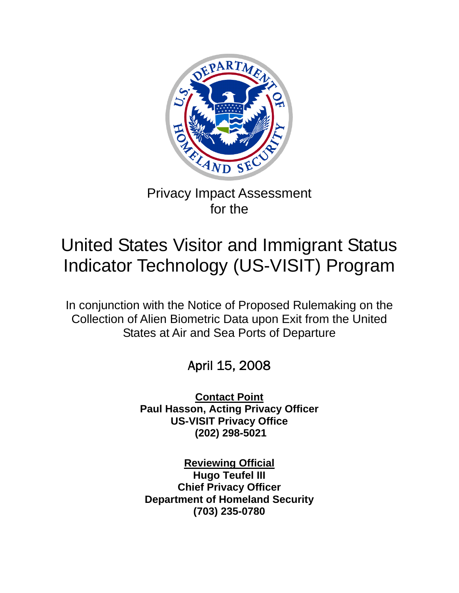

# Privacy Impact Assessment for the

# United States Visitor and Immigrant Status Indicator Technology (US-VISIT) Program

In conjunction with the Notice of Proposed Rulemaking on the Collection of Alien Biometric Data upon Exit from the United States at Air and Sea Ports of Departure

# April 15, 2008

**Contact Point Paul Hasson, Acting Privacy Officer US-VISIT Privacy Office (202) 298-5021** 

**Reviewing Official Hugo Teufel III Chief Privacy Officer Department of Homeland Security (703) 235-0780**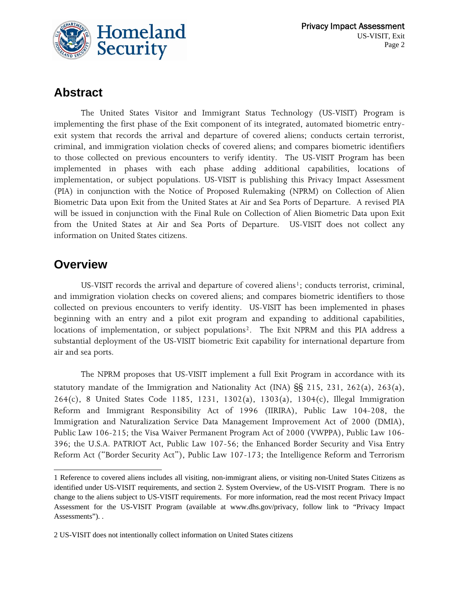

### **Abstract**

 The United States Visitor and Immigrant Status Technology (US-VISIT) Program is implementing the first phase of the Exit component of its integrated, automated biometric entryexit system that records the arrival and departure of covered aliens; conducts certain terrorist, criminal, and immigration violation checks of covered aliens; and compares biometric identifiers to those collected on previous encounters to verify identity. The US-VISIT Program has been implemented in phases with each phase adding additional capabilities, locations of implementation, or subject populations. US-VISIT is publishing this Privacy Impact Assessment (PIA) in conjunction with the Notice of Proposed Rulemaking (NPRM) on Collection of Alien Biometric Data upon Exit from the United States at Air and Sea Ports of Departure. A revised PIA will be issued in conjunction with the Final Rule on Collection of Alien Biometric Data upon Exit from the United States at Air and Sea Ports of Departure. US-VISIT does not collect any information on United States citizens.

#### **Overview**

 $\overline{a}$ 

US-VISIT records the arrival and departure of covered aliens<sup>[1](#page-1-0)</sup>; conducts terrorist, criminal, and immigration violation checks on covered aliens; and compares biometric identifiers to those collected on previous encounters to verify identity. US-VISIT has been implemented in phases beginning with an entry and a pilot exit program and expanding to additional capabilities, locations of implementation, or subject populations<sup>[2](#page-1-1)</sup>. The Exit NPRM and this PIA address a substantial deployment of the US-VISIT biometric Exit capability for international departure from air and sea ports.

The NPRM proposes that US-VISIT implement a full Exit Program in accordance with its statutory mandate of the Immigration and Nationality Act (INA) §§ 215, 231, 262(a), 263(a), 264(c), 8 United States Code 1185, 1231, 1302(a), 1303(a), 1304(c), Illegal Immigration Reform and Immigrant Responsibility Act of 1996 (IIRIRA), Public Law 104-208, the Immigration and Naturalization Service Data Management Improvement Act of 2000 (DMIA), Public Law 106-215; the Visa Waiver Permanent Program Act of 2000 (VWPPA), Public Law 106- 396; the U.S.A. PATRIOT Act, Public Law 107-56; the Enhanced Border Security and Visa Entry Reform Act ("Border Security Act"), Public Law 107-173; the Intelligence Reform and Terrorism

<span id="page-1-0"></span><sup>1</sup> Reference to covered aliens includes all visiting, non-immigrant aliens, or visiting non-United States Citizens as identified under US-VISIT requirements, and section 2. System Overview, of the US-VISIT Program. There is no change to the aliens subject to US-VISIT requirements. For more information, read the most recent Privacy Impact Assessment for the US-VISIT Program (available at www.dhs.gov/privacy, follow link to "Privacy Impact Assessments"). .

<span id="page-1-1"></span><sup>2</sup> US-VISIT does not intentionally collect information on United States citizens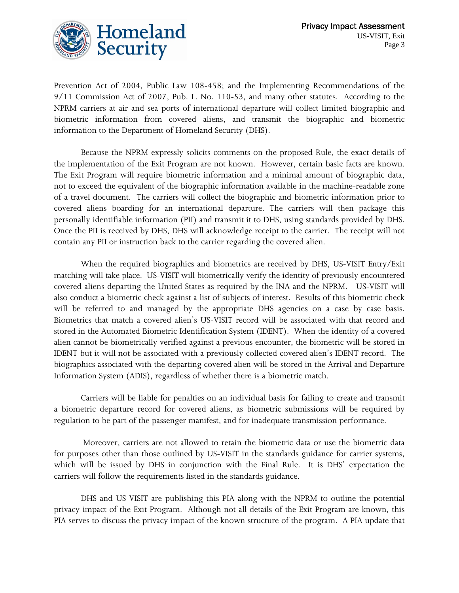

Prevention Act of 2004, Public Law 108-458; and the Implementing Recommendations of the 9/11 Commission Act of 2007, Pub. L. No. 110-53, and many other statutes. According to the NPRM carriers at air and sea ports of international departure will collect limited biographic and biometric information from covered aliens, and transmit the biographic and biometric information to the Department of Homeland Security (DHS).

Because the NPRM expressly solicits comments on the proposed Rule, the exact details of the implementation of the Exit Program are not known. However, certain basic facts are known. The Exit Program will require biometric information and a minimal amount of biographic data, not to exceed the equivalent of the biographic information available in the machine-readable zone of a travel document. The carriers will collect the biographic and biometric information prior to covered aliens boarding for an international departure. The carriers will then package this personally identifiable information (PII) and transmit it to DHS, using standards provided by DHS. Once the PII is received by DHS, DHS will acknowledge receipt to the carrier. The receipt will not contain any PII or instruction back to the carrier regarding the covered alien.

When the required biographics and biometrics are received by DHS, US-VISIT Entry/Exit matching will take place. US-VISIT will biometrically verify the identity of previously encountered covered aliens departing the United States as required by the INA and the NPRM. US-VISIT will also conduct a biometric check against a list of subjects of interest. Results of this biometric check will be referred to and managed by the appropriate DHS agencies on a case by case basis. Biometrics that match a covered alien's US-VISIT record will be associated with that record and stored in the Automated Biometric Identification System (IDENT). When the identity of a covered alien cannot be biometrically verified against a previous encounter, the biometric will be stored in IDENT but it will not be associated with a previously collected covered alien's IDENT record. The biographics associated with the departing covered alien will be stored in the Arrival and Departure Information System (ADIS), regardless of whether there is a biometric match.

Carriers will be liable for penalties on an individual basis for failing to create and transmit a biometric departure record for covered aliens, as biometric submissions will be required by regulation to be part of the passenger manifest, and for inadequate transmission performance.

 Moreover, carriers are not allowed to retain the biometric data or use the biometric data for purposes other than those outlined by US-VISIT in the standards guidance for carrier systems, which will be issued by DHS in conjunction with the Final Rule. It is DHS' expectation the carriers will follow the requirements listed in the standards guidance.

DHS and US-VISIT are publishing this PIA along with the NPRM to outline the potential privacy impact of the Exit Program. Although not all details of the Exit Program are known, this PIA serves to discuss the privacy impact of the known structure of the program. A PIA update that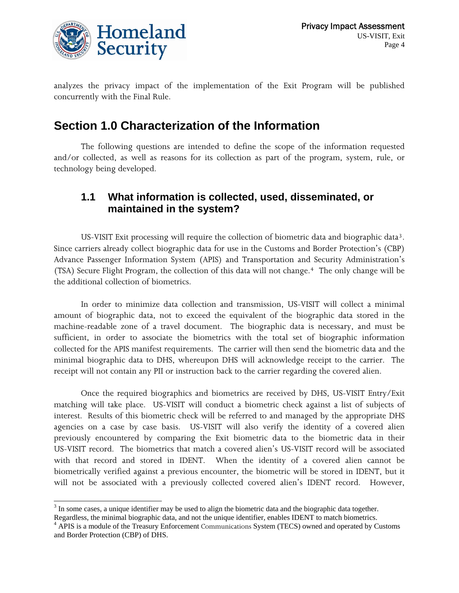

analyzes the privacy impact of the implementation of the Exit Program will be published concurrently with the Final Rule.

### **Section 1.0 Characterization of the Information**

 The following questions are intended to define the scope of the information requested and/or collected, as well as reasons for its collection as part of the program, system, rule, or technology being developed.

#### **1.1 What information is collected, used, disseminated, or maintained in the system?**

US-VISIT Exit processing will require the collection of biometric data and biographic data<sup>[3](#page-3-0)</sup>. Since carriers already collect biographic data for use in the Customs and Border Protection's (CBP) Advance Passenger Information System (APIS) and Transportation and Security Administration's (TSA) Secure Flight Program, the collection of this data will not change.[4](#page-3-1) The only change will be the additional collection of biometrics.

 In order to minimize data collection and transmission, US-VISIT will collect a minimal amount of biographic data, not to exceed the equivalent of the biographic data stored in the machine-readable zone of a travel document. The biographic data is necessary, and must be sufficient, in order to associate the biometrics with the total set of biographic information collected for the APIS manifest requirements. The carrier will then send the biometric data and the minimal biographic data to DHS, whereupon DHS will acknowledge receipt to the carrier. The receipt will not contain any PII or instruction back to the carrier regarding the covered alien.

 Once the required biographics and biometrics are received by DHS, US-VISIT Entry/Exit matching will take place. US-VISIT will conduct a biometric check against a list of subjects of interest. Results of this biometric check will be referred to and managed by the appropriate DHS agencies on a case by case basis. US-VISIT will also verify the identity of a covered alien previously encountered by comparing the Exit biometric data to the biometric data in their US-VISIT record. The biometrics that match a covered alien's US-VISIT record will be associated with that record and stored in IDENT. When the identity of a covered alien cannot be biometrically verified against a previous encounter, the biometric will be stored in IDENT, but it will not be associated with a previously collected covered alien's IDENT record. However,

<span id="page-3-0"></span><sup>&</sup>lt;sup>3</sup> In some cases, a unique identifier may be used to align the biometric data and the biographic data together. Regardless, the minimal biographic data, and not the unique identifier, enables IDENT to match biometrics. 4

<span id="page-3-1"></span><sup>&</sup>lt;sup>4</sup> APIS is a module of the Treasury Enforcement Communications System (TECS) owned and operated by Customs and Border Protection (CBP) of DHS.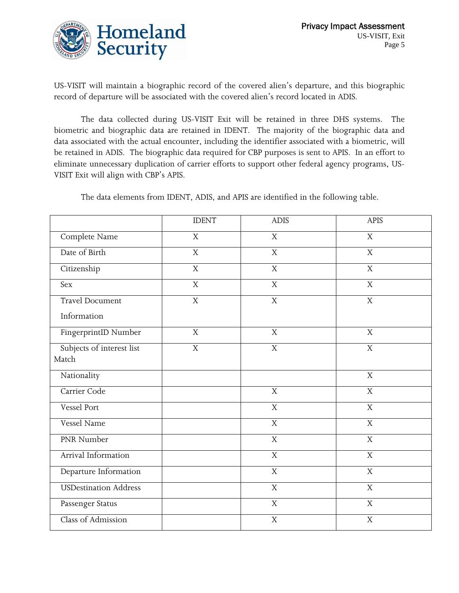

US-VISIT will maintain a biographic record of the covered alien's departure, and this biographic record of departure will be associated with the covered alien's record located in ADIS.

 The data collected during US-VISIT Exit will be retained in three DHS systems. The biometric and biographic data are retained in IDENT. The majority of the biographic data and data associated with the actual encounter, including the identifier associated with a biometric, will be retained in ADIS. The biographic data required for CBP purposes is sent to APIS. In an effort to eliminate unnecessary duplication of carrier efforts to support other federal agency programs, US-VISIT Exit will align with CBP's APIS.

The data elements from IDENT, ADIS, and APIS are identified in the following table.

|                                    | <b>IDENT</b>   | <b>ADIS</b>    | <b>APIS</b>               |
|------------------------------------|----------------|----------------|---------------------------|
| Complete Name                      | X              | $\mathbf X$    | $\mathbf X$               |
| Date of Birth                      | X              | $\mathbf X$    | X                         |
| Citizenship                        | $\overline{X}$ | $\overline{X}$ | $\overline{X}$            |
| Sex                                | $\mathbf X$    | $\mathbf X$    | $\overline{X}$            |
| Travel Document                    | $\overline{X}$ | $\overline{X}$ | $\overline{X}$            |
| Information                        |                |                |                           |
| FingerprintID Number               | X              | $\mathbf X$    | $\overline{X}$            |
| Subjects of interest list<br>Match | $\mathbf X$    | $\mathbf X$    | $\overline{X}$            |
| Nationality                        |                |                | $\mathbf X$               |
| Carrier Code                       |                | $\mathbf X$    | $\overline{X}$            |
| Vessel Port                        |                | $\mathbf X$    | $\mathbf X$               |
| Vessel Name                        |                | $\mathbf X$    | $\mathbf X$               |
| PNR Number                         |                | $\mathbf X$    | $\mathbf X$               |
| Arrival Information                |                | $\overline{X}$ | $\overline{X}$            |
| Departure Information              |                | $\overline{X}$ | $\overline{X}$            |
| <b>USDestination Address</b>       |                | $\mathbf X$    | $\bar{X}$                 |
| Passenger Status                   |                | $\mathbf X$    | $\mathbf X$               |
| Class of Admission                 |                | X              | $\boldsymbol{\mathrm{X}}$ |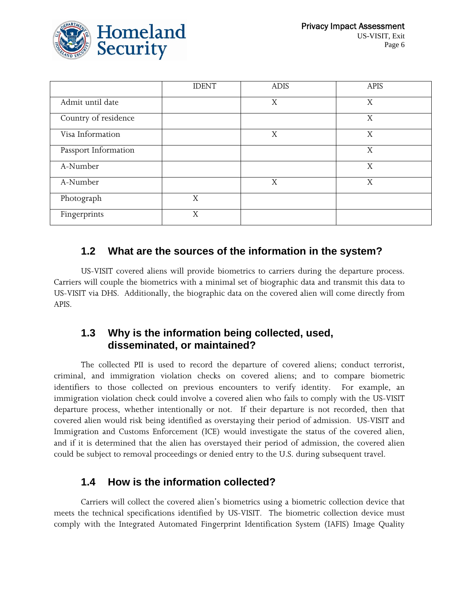

|                      | <b>IDENT</b> | <b>ADIS</b> | <b>APIS</b> |
|----------------------|--------------|-------------|-------------|
| Admit until date     |              | X           | X           |
| Country of residence |              |             | X           |
| Visa Information     |              | X           | X           |
| Passport Information |              |             | X           |
| A-Number             |              |             | X           |
| A-Number             |              | X           | X           |
| Photograph           | X            |             |             |
| Fingerprints         | X            |             |             |

#### **1.2 What are the sources of the information in the system?**

 US-VISIT covered aliens will provide biometrics to carriers during the departure process. Carriers will couple the biometrics with a minimal set of biographic data and transmit this data to US-VISIT via DHS. Additionally, the biographic data on the covered alien will come directly from APIS.

#### **1.3 Why is the information being collected, used, disseminated, or maintained?**

 The collected PII is used to record the departure of covered aliens; conduct terrorist, criminal, and immigration violation checks on covered aliens; and to compare biometric identifiers to those collected on previous encounters to verify identity. For example, an immigration violation check could involve a covered alien who fails to comply with the US-VISIT departure process, whether intentionally or not. If their departure is not recorded, then that covered alien would risk being identified as overstaying their period of admission. US-VISIT and Immigration and Customs Enforcement (ICE) would investigate the status of the covered alien, and if it is determined that the alien has overstayed their period of admission, the covered alien could be subject to removal proceedings or denied entry to the U.S. during subsequent travel.

#### **1.4 How is the information collected?**

Carriers will collect the covered alien's biometrics using a biometric collection device that meets the technical specifications identified by US-VISIT. The biometric collection device must comply with the Integrated Automated Fingerprint Identification System (IAFIS) Image Quality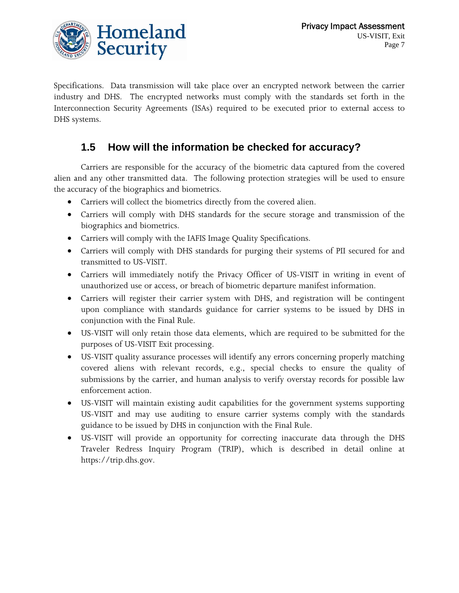

Specifications. Data transmission will take place over an encrypted network between the carrier industry and DHS. The encrypted networks must comply with the standards set forth in the Interconnection Security Agreements (ISAs) required to be executed prior to external access to DHS systems.

#### **1.5 How will the information be checked for accuracy?**

 Carriers are responsible for the accuracy of the biometric data captured from the covered alien and any other transmitted data. The following protection strategies will be used to ensure the accuracy of the biographics and biometrics.

- Carriers will collect the biometrics directly from the covered alien.
- Carriers will comply with DHS standards for the secure storage and transmission of the biographics and biometrics.
- Carriers will comply with the IAFIS Image Quality Specifications.
- Carriers will comply with DHS standards for purging their systems of PII secured for and transmitted to US-VISIT.
- Carriers will immediately notify the Privacy Officer of US-VISIT in writing in event of unauthorized use or access, or breach of biometric departure manifest information.
- Carriers will register their carrier system with DHS, and registration will be contingent upon compliance with standards guidance for carrier systems to be issued by DHS in conjunction with the Final Rule.
- US-VISIT will only retain those data elements, which are required to be submitted for the purposes of US-VISIT Exit processing.
- US-VISIT quality assurance processes will identify any errors concerning properly matching covered aliens with relevant records, e.g., special checks to ensure the quality of submissions by the carrier, and human analysis to verify overstay records for possible law enforcement action.
- US-VISIT will maintain existing audit capabilities for the government systems supporting US-VISIT and may use auditing to ensure carrier systems comply with the standards guidance to be issued by DHS in conjunction with the Final Rule.
- US-VISIT will provide an opportunity for correcting inaccurate data through the DHS Traveler Redress Inquiry Program (TRIP), which is described in detail online at https://[trip.dhs.gov.](http://www.trip.dhs.gov/)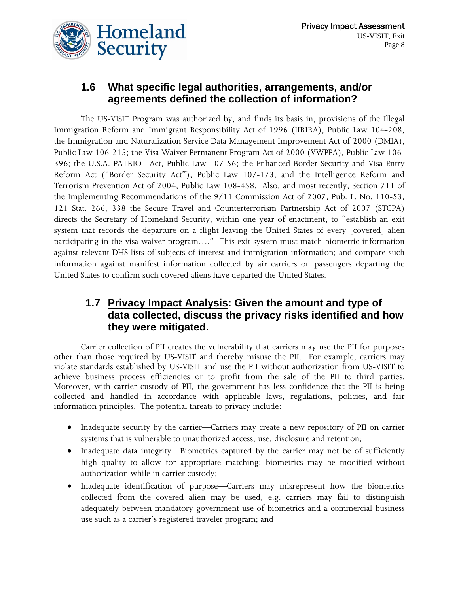#### **1.6 What specific legal authorities, arrangements, and/or agreements defined the collection of information?**

The US-VISIT Program was authorized by, and finds its basis in, provisions of the Illegal Immigration Reform and Immigrant Responsibility Act of 1996 (IIRIRA), Public Law 104-208, the Immigration and Naturalization Service Data Management Improvement Act of 2000 (DMIA), Public Law 106-215; the Visa Waiver Permanent Program Act of 2000 (VWPPA), Public Law 106- 396; the U.S.A. PATRIOT Act, Public Law 107-56; the Enhanced Border Security and Visa Entry Reform Act ("Border Security Act"), Public Law 107-173; and the Intelligence Reform and Terrorism Prevention Act of 2004, Public Law 108-458. Also, and most recently, Section 711 of the Implementing Recommendations of the 9/11 Commission Act of 2007, Pub. L. No. 110-53, 121 Stat. 266, 338 the Secure Travel and Counterterrorism Partnership Act of 2007 (STCPA) directs the Secretary of Homeland Security, within one year of enactment, to "establish an exit system that records the departure on a flight leaving the United States of every [covered] alien participating in the visa waiver program…." This exit system must match biometric information against relevant DHS lists of subjects of interest and immigration information; and compare such information against manifest information collected by air carriers on passengers departing the United States to confirm such covered aliens have departed the United States.

#### **1.7 Privacy Impact Analysis: Given the amount and type of data collected, discuss the privacy risks identified and how they were mitigated.**

Carrier collection of PII creates the vulnerability that carriers may use the PII for purposes other than those required by US-VISIT and thereby misuse the PII. For example, carriers may violate standards established by US-VISIT and use the PII without authorization from US-VISIT to achieve business process efficiencies or to profit from the sale of the PII to third parties. Moreover, with carrier custody of PII, the government has less confidence that the PII is being collected and handled in accordance with applicable laws, regulations, policies, and fair information principles. The potential threats to privacy include:

- Inadequate security by the carrier—Carriers may create a new repository of PII on carrier systems that is vulnerable to unauthorized access, use, disclosure and retention;
- Inadequate data integrity—Biometrics captured by the carrier may not be of sufficiently high quality to allow for appropriate matching; biometrics may be modified without authorization while in carrier custody;
- Inadequate identification of purpose—Carriers may misrepresent how the biometrics collected from the covered alien may be used, e.g. carriers may fail to distinguish adequately between mandatory government use of biometrics and a commercial business use such as a carrier's registered traveler program; and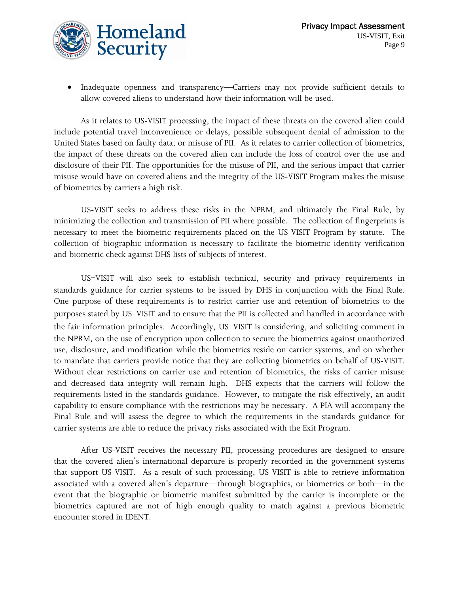

• Inadequate openness and transparency—Carriers may not provide sufficient details to allow covered aliens to understand how their information will be used.

As it relates to US-VISIT processing, the impact of these threats on the covered alien could include potential travel inconvenience or delays, possible subsequent denial of admission to the United States based on faulty data, or misuse of PII. As it relates to carrier collection of biometrics, the impact of these threats on the covered alien can include the loss of control over the use and disclosure of their PII. The opportunities for the misuse of PII, and the serious impact that carrier misuse would have on covered aliens and the integrity of the US-VISIT Program makes the misuse of biometrics by carriers a high risk.

US-VISIT seeks to address these risks in the NPRM, and ultimately the Final Rule, by minimizing the collection and transmission of PII where possible. The collection of fingerprints is necessary to meet the biometric requirements placed on the US-VISIT Program by statute. The collection of biographic information is necessary to facilitate the biometric identity verification and biometric check against DHS lists of subjects of interest.

 US-VISIT will also seek to establish technical, security and privacy requirements in standards guidance for carrier systems to be issued by DHS in conjunction with the Final Rule. One purpose of these requirements is to restrict carrier use and retention of biometrics to the purposes stated by US-VISIT and to ensure that the PII is collected and handled in accordance with the fair information principles. Accordingly, US-VISIT is considering, and soliciting comment in the NPRM, on the use of encryption upon collection to secure the biometrics against unauthorized use, disclosure, and modification while the biometrics reside on carrier systems, and on whether to mandate that carriers provide notice that they are collecting biometrics on behalf of US-VISIT. Without clear restrictions on carrier use and retention of biometrics, the risks of carrier misuse and decreased data integrity will remain high. DHS expects that the carriers will follow the requirements listed in the standards guidance. However, to mitigate the risk effectively, an audit capability to ensure compliance with the restrictions may be necessary. A PIA will accompany the Final Rule and will assess the degree to which the requirements in the standards guidance for carrier systems are able to reduce the privacy risks associated with the Exit Program.

After US-VISIT receives the necessary PII, processing procedures are designed to ensure that the covered alien's international departure is properly recorded in the government systems that support US-VISIT. As a result of such processing, US-VISIT is able to retrieve information associated with a covered alien's departure—through biographics, or biometrics or both—in the event that the biographic or biometric manifest submitted by the carrier is incomplete or the biometrics captured are not of high enough quality to match against a previous biometric encounter stored in IDENT.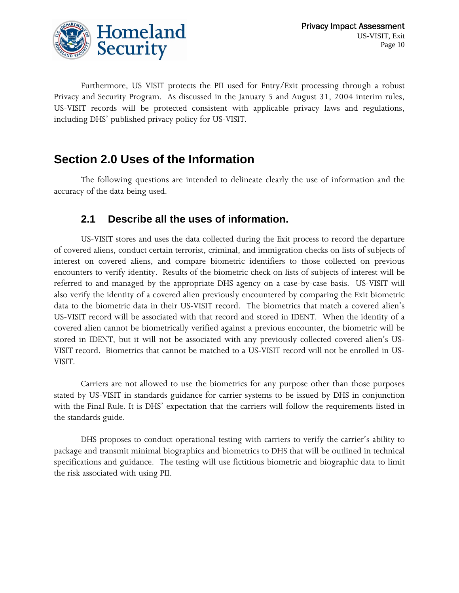

Furthermore, US VISIT protects the PII used for Entry/Exit processing through a robust Privacy and Security Program. As discussed in the January 5 and August 31, 2004 interim rules, US-VISIT records will be protected consistent with applicable privacy laws and regulations, including DHS' published privacy policy for US-VISIT.

### **Section 2.0 Uses of the Information**

 The following questions are intended to delineate clearly the use of information and the accuracy of the data being used.

#### **2.1 Describe all the uses of information.**

 US-VISIT stores and uses the data collected during the Exit process to record the departure of covered aliens, conduct certain terrorist, criminal, and immigration checks on lists of subjects of interest on covered aliens, and compare biometric identifiers to those collected on previous encounters to verify identity. Results of the biometric check on lists of subjects of interest will be referred to and managed by the appropriate DHS agency on a case-by-case basis. US-VISIT will also verify the identity of a covered alien previously encountered by comparing the Exit biometric data to the biometric data in their US-VISIT record. The biometrics that match a covered alien's US-VISIT record will be associated with that record and stored in IDENT. When the identity of a covered alien cannot be biometrically verified against a previous encounter, the biometric will be stored in IDENT, but it will not be associated with any previously collected covered alien's US-VISIT record. Biometrics that cannot be matched to a US-VISIT record will not be enrolled in US-VISIT.

 Carriers are not allowed to use the biometrics for any purpose other than those purposes stated by US-VISIT in standards guidance for carrier systems to be issued by DHS in conjunction with the Final Rule. It is DHS' expectation that the carriers will follow the requirements listed in the standards guide.

 DHS proposes to conduct operational testing with carriers to verify the carrier's ability to package and transmit minimal biographics and biometrics to DHS that will be outlined in technical specifications and guidance. The testing will use fictitious biometric and biographic data to limit the risk associated with using PII.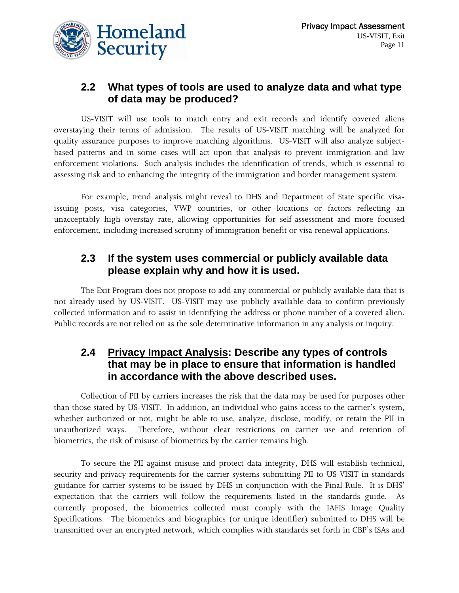

#### **2.2 What types of tools are used to analyze data and what type of data may be produced?**

US-VISIT will use tools to match entry and exit records and identify covered aliens overstaying their terms of admission. The results of US-VISIT matching will be analyzed for quality assurance purposes to improve matching algorithms. US-VISIT will also analyze subjectbased patterns and in some cases will act upon that analysis to prevent immigration and law enforcement violations. Such analysis includes the identification of trends, which is essential to assessing risk and to enhancing the integrity of the immigration and border management system.

For example, trend analysis might reveal to DHS and Department of State specific visaissuing posts, visa categories, VWP countries, or other locations or factors reflecting an unacceptably high overstay rate, allowing opportunities for self-assessment and more focused enforcement, including increased scrutiny of immigration benefit or visa renewal applications.

#### **2.3 If the system uses commercial or publicly available data please explain why and how it is used.**

 The Exit Program does not propose to add any commercial or publicly available data that is not already used by US-VISIT. US-VISIT may use publicly available data to confirm previously collected information and to assist in identifying the address or phone number of a covered alien. Public records are not relied on as the sole determinative information in any analysis or inquiry.

#### **2.4 Privacy Impact Analysis: Describe any types of controls that may be in place to ensure that information is handled in accordance with the above described uses.**

 Collection of PII by carriers increases the risk that the data may be used for purposes other than those stated by US-VISIT. In addition, an individual who gains access to the carrier's system, whether authorized or not, might be able to use, analyze, disclose, modify, or retain the PII in unauthorized ways. Therefore, without clear restrictions on carrier use and retention of biometrics, the risk of misuse of biometrics by the carrier remains high.

To secure the PII against misuse and protect data integrity, DHS will establish technical, security and privacy requirements for the carrier systems submitting PII to US-VISIT in standards guidance for carrier systems to be issued by DHS in conjunction with the Final Rule. It is DHS' expectation that the carriers will follow the requirements listed in the standards guide. As currently proposed, the biometrics collected must comply with the IAFIS Image Quality Specifications. The biometrics and biographics (or unique identifier) submitted to DHS will be transmitted over an encrypted network, which complies with standards set forth in CBP's ISAs and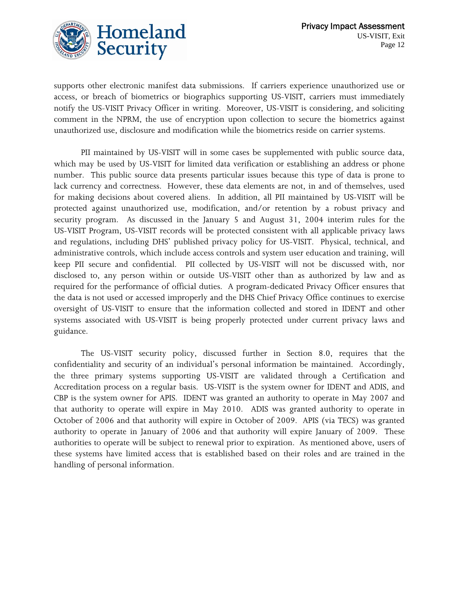

supports other electronic manifest data submissions. If carriers experience unauthorized use or access, or breach of biometrics or biographics supporting US-VISIT, carriers must immediately notify the US-VISIT Privacy Officer in writing. Moreover, US-VISIT is considering, and soliciting comment in the NPRM, the use of encryption upon collection to secure the biometrics against unauthorized use, disclosure and modification while the biometrics reside on carrier systems.

 PII maintained by US-VISIT will in some cases be supplemented with public source data, which may be used by US-VISIT for limited data verification or establishing an address or phone number. This public source data presents particular issues because this type of data is prone to lack currency and correctness. However, these data elements are not, in and of themselves, used for making decisions about covered aliens. In addition, all PII maintained by US-VISIT will be protected against unauthorized use, modification, and/or retention by a robust privacy and security program. As discussed in the January 5 and August 31, 2004 interim rules for the US-VISIT Program, US-VISIT records will be protected consistent with all applicable privacy laws and regulations, including DHS' published privacy policy for US-VISIT. Physical, technical, and administrative controls, which include access controls and system user education and training, will keep PII secure and confidential. PII collected by US-VISIT will not be discussed with, nor disclosed to, any person within or outside US-VISIT other than as authorized by law and as required for the performance of official duties. A program-dedicated Privacy Officer ensures that the data is not used or accessed improperly and the DHS Chief Privacy Office continues to exercise oversight of US-VISIT to ensure that the information collected and stored in IDENT and other systems associated with US-VISIT is being properly protected under current privacy laws and guidance.

 The US-VISIT security policy, discussed further in Section 8.0, requires that the confidentiality and security of an individual's personal information be maintained. Accordingly, the three primary systems supporting US-VISIT are validated through a Certification and Accreditation process on a regular basis. US-VISIT is the system owner for IDENT and ADIS, and CBP is the system owner for APIS. IDENT was granted an authority to operate in May 2007 and that authority to operate will expire in May 2010. ADIS was granted authority to operate in October of 2006 and that authority will expire in October of 2009. APIS (via TECS) was granted authority to operate in January of 2006 and that authority will expire January of 2009. These authorities to operate will be subject to renewal prior to expiration. As mentioned above, users of these systems have limited access that is established based on their roles and are trained in the handling of personal information.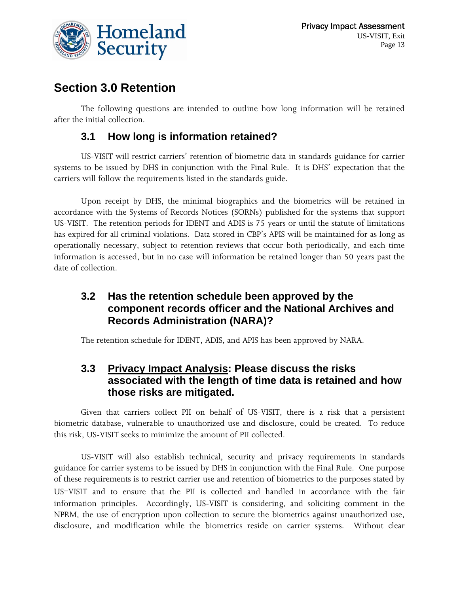

### **Section 3.0 Retention**

 The following questions are intended to outline how long information will be retained after the initial collection.

#### **3.1 How long is information retained?**

 US-VISIT will restrict carriers' retention of biometric data in standards guidance for carrier systems to be issued by DHS in conjunction with the Final Rule. It is DHS' expectation that the carriers will follow the requirements listed in the standards guide.

 Upon receipt by DHS, the minimal biographics and the biometrics will be retained in accordance with the Systems of Records Notices (SORNs) published for the systems that support US-VISIT. The retention periods for IDENT and ADIS is 75 years or until the statute of limitations has expired for all criminal violations. Data stored in CBP's APIS will be maintained for as long as operationally necessary, subject to retention reviews that occur both periodically, and each time information is accessed, but in no case will information be retained longer than 50 years past the date of collection.

#### **3.2 Has the retention schedule been approved by the component records officer and the National Archives and Records Administration (NARA)?**

The retention schedule for IDENT, ADIS, and APIS has been approved by NARA.

#### **3.3 Privacy Impact Analysis: Please discuss the risks associated with the length of time data is retained and how those risks are mitigated.**

 Given that carriers collect PII on behalf of US-VISIT, there is a risk that a persistent biometric database, vulnerable to unauthorized use and disclosure, could be created. To reduce this risk, US-VISIT seeks to minimize the amount of PII collected.

US-VISIT will also establish technical, security and privacy requirements in standards guidance for carrier systems to be issued by DHS in conjunction with the Final Rule. One purpose of these requirements is to restrict carrier use and retention of biometrics to the purposes stated by US-VISIT and to ensure that the PII is collected and handled in accordance with the fair information principles. Accordingly, US-VISIT is considering, and soliciting comment in the NPRM, the use of encryption upon collection to secure the biometrics against unauthorized use, disclosure, and modification while the biometrics reside on carrier systems. Without clear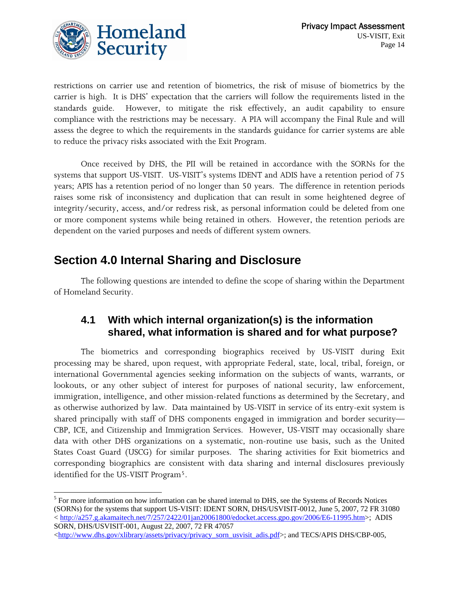

 $\overline{a}$ 

restrictions on carrier use and retention of biometrics, the risk of misuse of biometrics by the carrier is high. It is DHS' expectation that the carriers will follow the requirements listed in the standards guide. However, to mitigate the risk effectively, an audit capability to ensure compliance with the restrictions may be necessary. A PIA will accompany the Final Rule and will assess the degree to which the requirements in the standards guidance for carrier systems are able to reduce the privacy risks associated with the Exit Program.

 Once received by DHS, the PII will be retained in accordance with the SORNs for the systems that support US-VISIT. US-VISIT's systems IDENT and ADIS have a retention period of 75 years; APIS has a retention period of no longer than 50 years. The difference in retention periods raises some risk of inconsistency and duplication that can result in some heightened degree of integrity/security, access, and/or redress risk, as personal information could be deleted from one or more component systems while being retained in others. However, the retention periods are dependent on the varied purposes and needs of different system owners.

### **Section 4.0 Internal Sharing and Disclosure**

 The following questions are intended to define the scope of sharing within the Department of Homeland Security.

#### **4.1 With which internal organization(s) is the information shared, what information is shared and for what purpose?**

 The biometrics and corresponding biographics received by US-VISIT during Exit processing may be shared, upon request, with appropriate Federal, state, local, tribal, foreign, or international Governmental agencies seeking information on the subjects of wants, warrants, or lookouts, or any other subject of interest for purposes of national security, law enforcement, immigration, intelligence, and other mission-related functions as determined by the Secretary, and as otherwise authorized by law. Data maintained by US-VISIT in service of its entry-exit system is shared principally with staff of DHS components engaged in immigration and border security— CBP, ICE, and Citizenship and Immigration Services. However, US-VISIT may occasionally share data with other DHS organizations on a systematic, non-routine use basis, such as the United States Coast Guard (USCG) for similar purposes. The sharing activities for Exit biometrics and corresponding biographics are consistent with data sharing and internal disclosures previously identified for the US-VISIT Program[5](#page-13-0).

<span id="page-13-0"></span><sup>&</sup>lt;sup>5</sup> For more information on how information can be shared internal to DHS, see the Systems of Records Notices (SORNs) for the systems that support US-VISIT: IDENT SORN, DHS/USVISIT-0012, June 5, 2007, 72 FR 31080 < [http://a257.g.akamaitech.net/7/257/2422/01jan20061800/edocket.access.gpo.gov/2006/E6-11995.htm>](http://a257.g.akamaitech.net/7/257/2422/01jan20061800/edocket.access.gpo.gov/2006/E6-11995.htm); ADIS SORN, DHS/USVISIT-001, August 22, 2007, 72 FR 47057

<sup>&</sup>lt;[http://www.dhs.gov/xlibrary/assets/privacy/privacy\\_sorn\\_usvisit\\_adis.pdf](http://www.dhs.gov/xlibrary/assets/privacy/privacy_sorn_usvisit_adis.pdf)>; and TECS/APIS DHS/CBP-005,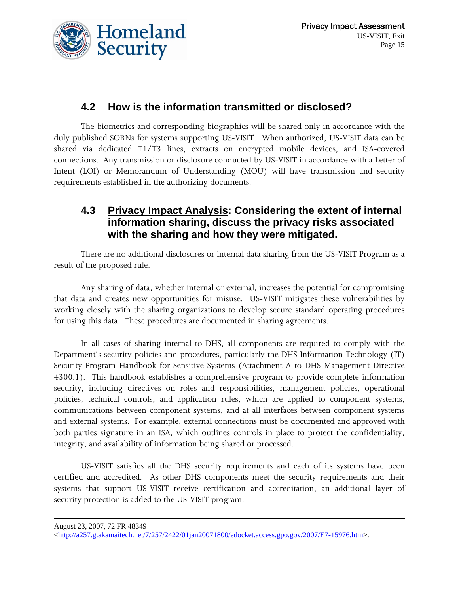

#### **4.2 How is the information transmitted or disclosed?**

 The biometrics and corresponding biographics will be shared only in accordance with the duly published SORNs for systems supporting US-VISIT. When authorized, US-VISIT data can be shared via dedicated T1/T3 lines, extracts on encrypted mobile devices, and ISA-covered connections. Any transmission or disclosure conducted by US-VISIT in accordance with a Letter of Intent (LOI) or Memorandum of Understanding (MOU) will have transmission and security requirements established in the authorizing documents.

#### **4.3 Privacy Impact Analysis: Considering the extent of internal information sharing, discuss the privacy risks associated with the sharing and how they were mitigated.**

 There are no additional disclosures or internal data sharing from the US-VISIT Program as a result of the proposed rule.

 Any sharing of data, whether internal or external, increases the potential for compromising that data and creates new opportunities for misuse. US-VISIT mitigates these vulnerabilities by working closely with the sharing organizations to develop secure standard operating procedures for using this data. These procedures are documented in sharing agreements.

 In all cases of sharing internal to DHS, all components are required to comply with the Department's security policies and procedures, particularly the DHS Information Technology (IT) Security Program Handbook for Sensitive Systems (Attachment A to DHS Management Directive 4300.1). This handbook establishes a comprehensive program to provide complete information security, including directives on roles and responsibilities, management policies, operational policies, technical controls, and application rules, which are applied to component systems, communications between component systems, and at all interfaces between component systems and external systems. For example, external connections must be documented and approved with both parties signature in an ISA, which outlines controls in place to protect the confidentiality, integrity, and availability of information being shared or processed.

 US-VISIT satisfies all the DHS security requirements and each of its systems have been certified and accredited. As other DHS components meet the security requirements and their systems that support US-VISIT receive certification and accreditation, an additional layer of security protection is added to the US-VISIT program.

August 23, 2007, 72 FR 48349

 $\overline{a}$ 

<sup>&</sup>lt;[http://a257.g.akamaitech.net/7/257/2422/01jan20071800/edocket.access.gpo.gov/2007/E7-15976.htm>](http://a257.g.akamaitech.net/7/257/2422/01jan20071800/edocket.access.gpo.gov/2007/E7-15976.htm).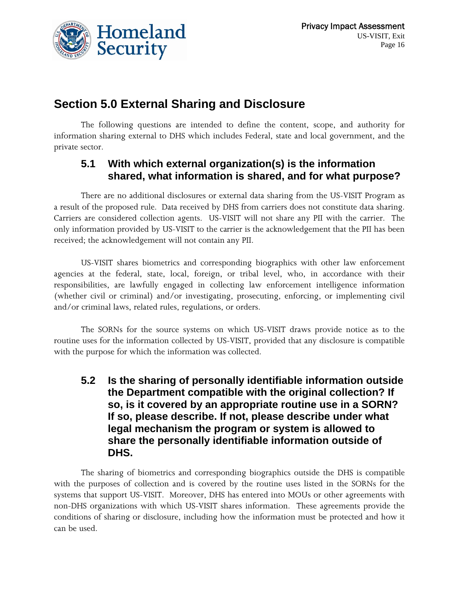

### **Section 5.0 External Sharing and Disclosure**

 The following questions are intended to define the content, scope, and authority for information sharing external to DHS which includes Federal, state and local government, and the private sector.

#### **5.1 With which external organization(s) is the information shared, what information is shared, and for what purpose?**

 There are no additional disclosures or external data sharing from the US-VISIT Program as a result of the proposed rule. Data received by DHS from carriers does not constitute data sharing. Carriers are considered collection agents. US-VISIT will not share any PII with the carrier. The only information provided by US-VISIT to the carrier is the acknowledgement that the PII has been received; the acknowledgement will not contain any PII.

 US-VISIT shares biometrics and corresponding biographics with other law enforcement agencies at the federal, state, local, foreign, or tribal level, who, in accordance with their responsibilities, are lawfully engaged in collecting law enforcement intelligence information (whether civil or criminal) and/or investigating, prosecuting, enforcing, or implementing civil and/or criminal laws, related rules, regulations, or orders.

 The SORNs for the source systems on which US-VISIT draws provide notice as to the routine uses for the information collected by US-VISIT, provided that any disclosure is compatible with the purpose for which the information was collected.

**5.2 Is the sharing of personally identifiable information outside the Department compatible with the original collection? If so, is it covered by an appropriate routine use in a SORN? If so, please describe. If not, please describe under what legal mechanism the program or system is allowed to share the personally identifiable information outside of DHS.** 

 The sharing of biometrics and corresponding biographics outside the DHS is compatible with the purposes of collection and is covered by the routine uses listed in the SORNs for the systems that support US-VISIT. Moreover, DHS has entered into MOUs or other agreements with non-DHS organizations with which US-VISIT shares information. These agreements provide the conditions of sharing or disclosure, including how the information must be protected and how it can be used.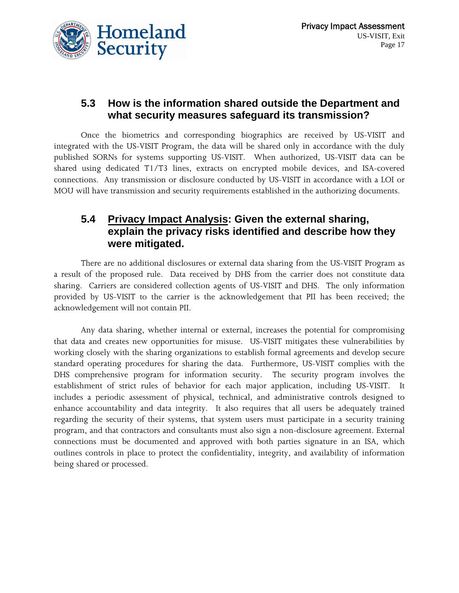

#### **5.3 How is the information shared outside the Department and what security measures safeguard its transmission?**

 Once the biometrics and corresponding biographics are received by US-VISIT and integrated with the US-VISIT Program, the data will be shared only in accordance with the duly published SORNs for systems supporting US-VISIT. When authorized, US-VISIT data can be shared using dedicated T1/T3 lines, extracts on encrypted mobile devices, and ISA-covered connections. Any transmission or disclosure conducted by US-VISIT in accordance with a LOI or MOU will have transmission and security requirements established in the authorizing documents.

#### **5.4 Privacy Impact Analysis: Given the external sharing, explain the privacy risks identified and describe how they were mitigated.**

 There are no additional disclosures or external data sharing from the US-VISIT Program as a result of the proposed rule. Data received by DHS from the carrier does not constitute data sharing. Carriers are considered collection agents of US-VISIT and DHS. The only information provided by US-VISIT to the carrier is the acknowledgement that PII has been received; the acknowledgement will not contain PII.

 Any data sharing, whether internal or external, increases the potential for compromising that data and creates new opportunities for misuse. US-VISIT mitigates these vulnerabilities by working closely with the sharing organizations to establish formal agreements and develop secure standard operating procedures for sharing the data. Furthermore, US-VISIT complies with the DHS comprehensive program for information security. The security program involves the establishment of strict rules of behavior for each major application, including US-VISIT. It includes a periodic assessment of physical, technical, and administrative controls designed to enhance accountability and data integrity. It also requires that all users be adequately trained regarding the security of their systems, that system users must participate in a security training program, and that contractors and consultants must also sign a non-disclosure agreement. External connections must be documented and approved with both parties signature in an ISA, which outlines controls in place to protect the confidentiality, integrity, and availability of information being shared or processed.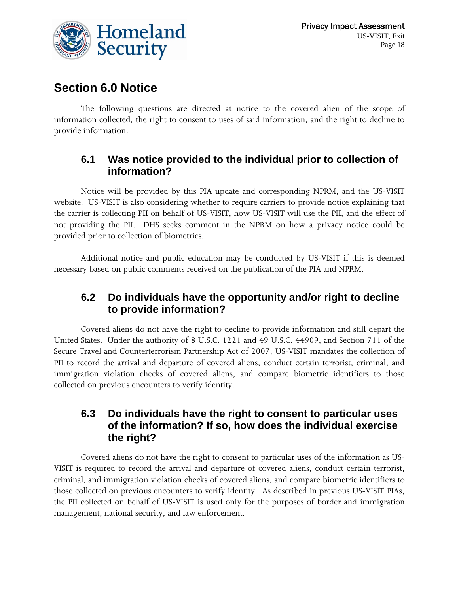

### **Section 6.0 Notice**

 The following questions are directed at notice to the covered alien of the scope of information collected, the right to consent to uses of said information, and the right to decline to provide information.

#### **6.1 Was notice provided to the individual prior to collection of information?**

 Notice will be provided by this PIA update and corresponding NPRM, and the US-VISIT website. US-VISIT is also considering whether to require carriers to provide notice explaining that the carrier is collecting PII on behalf of US-VISIT, how US-VISIT will use the PII, and the effect of not providing the PII. DHS seeks comment in the NPRM on how a privacy notice could be provided prior to collection of biometrics.

 Additional notice and public education may be conducted by US-VISIT if this is deemed necessary based on public comments received on the publication of the PIA and NPRM.

#### **6.2 Do individuals have the opportunity and/or right to decline to provide information?**

 Covered aliens do not have the right to decline to provide information and still depart the United States. Under the authority of 8 U.S.C. 1221 and 49 U.S.C. 44909, and Section 711 of the Secure Travel and Counterterrorism Partnership Act of 2007, US-VISIT mandates the collection of PII to record the arrival and departure of covered aliens, conduct certain terrorist, criminal, and immigration violation checks of covered aliens, and compare biometric identifiers to those collected on previous encounters to verify identity.

#### **6.3 Do individuals have the right to consent to particular uses of the information? If so, how does the individual exercise the right?**

 Covered aliens do not have the right to consent to particular uses of the information as US-VISIT is required to record the arrival and departure of covered aliens, conduct certain terrorist, criminal, and immigration violation checks of covered aliens, and compare biometric identifiers to those collected on previous encounters to verify identity. As described in previous US-VISIT PIAs, the PII collected on behalf of US-VISIT is used only for the purposes of border and immigration management, national security, and law enforcement.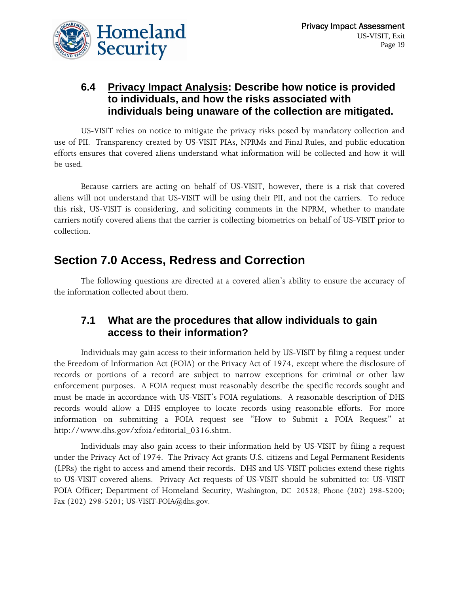

#### **6.4 Privacy Impact Analysis: Describe how notice is provided to individuals, and how the risks associated with individuals being unaware of the collection are mitigated.**

 US-VISIT relies on notice to mitigate the privacy risks posed by mandatory collection and use of PII. Transparency created by US-VISIT PIAs, NPRMs and Final Rules, and public education efforts ensures that covered aliens understand what information will be collected and how it will be used.

 Because carriers are acting on behalf of US-VISIT, however, there is a risk that covered aliens will not understand that US-VISIT will be using their PII, and not the carriers. To reduce this risk, US-VISIT is considering, and soliciting comments in the NPRM, whether to mandate carriers notify covered aliens that the carrier is collecting biometrics on behalf of US-VISIT prior to collection.

### **Section 7.0 Access, Redress and Correction**

 The following questions are directed at a covered alien's ability to ensure the accuracy of the information collected about them.

#### **7.1 What are the procedures that allow individuals to gain access to their information?**

Individuals may gain access to their information held by US-VISIT by filing a request under the Freedom of Information Act (FOIA) or the Privacy Act of 1974, except where the disclosure of records or portions of a record are subject to narrow exceptions for criminal or other law enforcement purposes. A FOIA request must reasonably describe the specific records sought and must be made in accordance with US-VISIT's FOIA regulations. A reasonable description of DHS records would allow a DHS employee to locate records using reasonable efforts. For more information on submitting a FOIA request see "How to Submit a FOIA Request" at http://www.dhs.gov/xfoia/editorial\_0316.shtm.

Individuals may also gain access to their information held by US-VISIT by filing a request under the Privacy Act of 1974. The Privacy Act grants U.S. citizens and Legal Permanent Residents (LPRs) the right to access and amend their records. DHS and US-VISIT policies extend these rights to US-VISIT covered aliens. Privacy Act requests of US-VISIT should be submitted to: US-VISIT FOIA Officer; Department of Homeland Security, Washington, DC 20528; Phone (202) 298-5200; Fax (202) 298-5201; US-VISIT-FOIA@dhs.gov.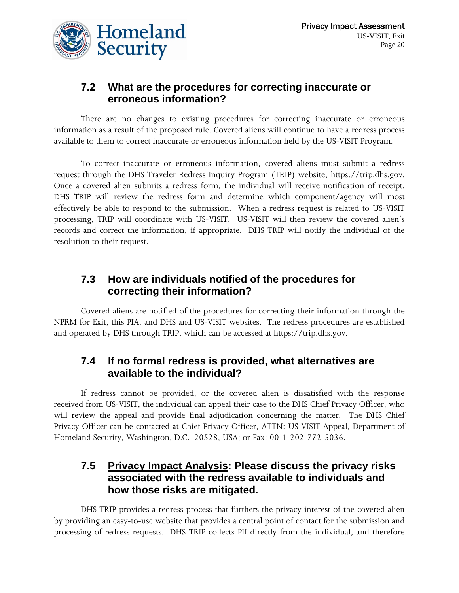

#### **7.2 What are the procedures for correcting inaccurate or erroneous information?**

 There are no changes to existing procedures for correcting inaccurate or erroneous information as a result of the proposed rule. Covered aliens will continue to have a redress process available to them to correct inaccurate or erroneous information held by the US-VISIT Program.

To correct inaccurate or erroneous information, covered aliens must submit a redress request through the DHS Traveler Redress Inquiry Program (TRIP) website, https://trip.dhs.gov. Once a covered alien submits a redress form, the individual will receive notification of receipt. DHS TRIP will review the redress form and determine which component/agency will most effectively be able to respond to the submission. When a redress request is related to US-VISIT processing, TRIP will coordinate with US-VISIT. US-VISIT will then review the covered alien's records and correct the information, if appropriate. DHS TRIP will notify the individual of the resolution to their request.

#### **7.3 How are individuals notified of the procedures for correcting their information?**

 Covered aliens are notified of the procedures for correcting their information through the NPRM for Exit, this PIA, and DHS and US-VISIT websites. The redress procedures are established and operated by DHS through TRIP, which can be accessed at https://trip.dhs.gov.

#### **7.4 If no formal redress is provided, what alternatives are available to the individual?**

 If redress cannot be provided, or the covered alien is dissatisfied with the response received from US-VISIT, the individual can appeal their case to the DHS Chief Privacy Officer, who will review the appeal and provide final adjudication concerning the matter. The DHS Chief Privacy Officer can be contacted at Chief Privacy Officer, ATTN: US-VISIT Appeal, Department of Homeland Security, Washington, D.C. 20528, USA; or Fax: 00-1-202-772-5036.

#### **7.5 Privacy Impact Analysis: Please discuss the privacy risks associated with the redress available to individuals and how those risks are mitigated.**

 DHS TRIP provides a redress process that furthers the privacy interest of the covered alien by providing an easy-to-use website that provides a central point of contact for the submission and processing of redress requests. DHS TRIP collects PII directly from the individual, and therefore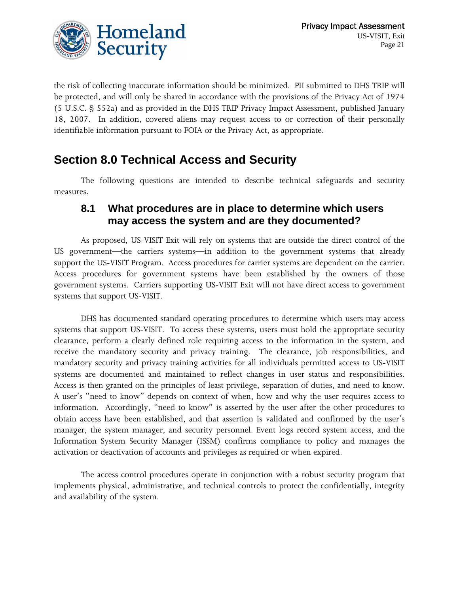

the risk of collecting inaccurate information should be minimized. PII submitted to DHS TRIP will be protected, and will only be shared in accordance with the provisions of the Privacy Act of 1974 (5 U.S.C. § 552a) and as provided in the DHS TRIP Privacy Impact Assessment, published January 18, 2007. In addition, covered aliens may request access to or correction of their personally identifiable information pursuant to FOIA or the Privacy Act, as appropriate.

### **Section 8.0 Technical Access and Security**

 The following questions are intended to describe technical safeguards and security measures.

#### **8.1 What procedures are in place to determine which users may access the system and are they documented?**

 As proposed, US-VISIT Exit will rely on systems that are outside the direct control of the US government—the carriers systems—in addition to the government systems that already support the US-VISIT Program. Access procedures for carrier systems are dependent on the carrier. Access procedures for government systems have been established by the owners of those government systems. Carriers supporting US-VISIT Exit will not have direct access to government systems that support US-VISIT.

 DHS has documented standard operating procedures to determine which users may access systems that support US-VISIT. To access these systems, users must hold the appropriate security clearance, perform a clearly defined role requiring access to the information in the system, and receive the mandatory security and privacy training. The clearance, job responsibilities, and mandatory security and privacy training activities for all individuals permitted access to US-VISIT systems are documented and maintained to reflect changes in user status and responsibilities. Access is then granted on the principles of least privilege, separation of duties, and need to know. A user's "need to know" depends on context of when, how and why the user requires access to information. Accordingly, "need to know" is asserted by the user after the other procedures to obtain access have been established, and that assertion is validated and confirmed by the user's manager, the system manager, and security personnel. Event logs record system access, and the Information System Security Manager (ISSM) confirms compliance to policy and manages the activation or deactivation of accounts and privileges as required or when expired.

 The access control procedures operate in conjunction with a robust security program that implements physical, administrative, and technical controls to protect the confidentially, integrity and availability of the system.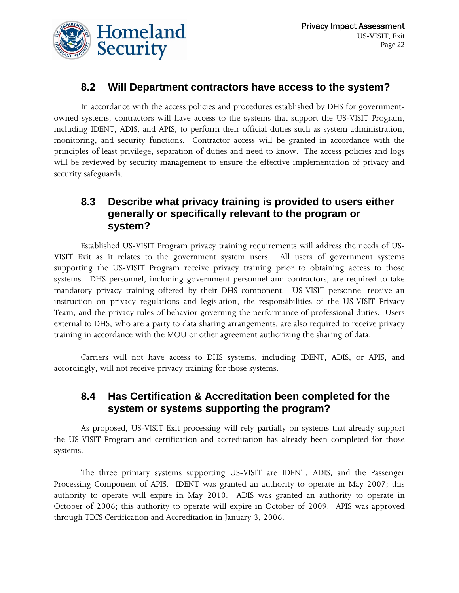#### **8.2 Will Department contractors have access to the system?**

 In accordance with the access policies and procedures established by DHS for governmentowned systems, contractors will have access to the systems that support the US-VISIT Program, including IDENT, ADIS, and APIS, to perform their official duties such as system administration, monitoring, and security functions. Contractor access will be granted in accordance with the principles of least privilege, separation of duties and need to know. The access policies and logs will be reviewed by security management to ensure the effective implementation of privacy and security safeguards.

#### **8.3 Describe what privacy training is provided to users either generally or specifically relevant to the program or system?**

 Established US-VISIT Program privacy training requirements will address the needs of US-VISIT Exit as it relates to the government system users. All users of government systems supporting the US-VISIT Program receive privacy training prior to obtaining access to those systems. DHS personnel, including government personnel and contractors, are required to take mandatory privacy training offered by their DHS component. US-VISIT personnel receive an instruction on privacy regulations and legislation, the responsibilities of the US-VISIT Privacy Team, and the privacy rules of behavior governing the performance of professional duties. Users external to DHS, who are a party to data sharing arrangements, are also required to receive privacy training in accordance with the MOU or other agreement authorizing the sharing of data.

 Carriers will not have access to DHS systems, including IDENT, ADIS, or APIS, and accordingly, will not receive privacy training for those systems.

#### **8.4 Has Certification & Accreditation been completed for the system or systems supporting the program?**

 As proposed, US-VISIT Exit processing will rely partially on systems that already support the US-VISIT Program and certification and accreditation has already been completed for those systems.

 The three primary systems supporting US-VISIT are IDENT, ADIS, and the Passenger Processing Component of APIS. IDENT was granted an authority to operate in May 2007; this authority to operate will expire in May 2010. ADIS was granted an authority to operate in October of 2006; this authority to operate will expire in October of 2009. APIS was approved through TECS Certification and Accreditation in January 3, 2006.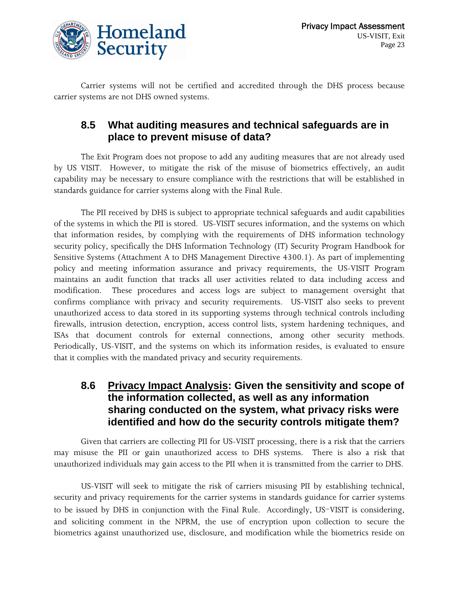

 Carrier systems will not be certified and accredited through the DHS process because carrier systems are not DHS owned systems.

#### **8.5 What auditing measures and technical safeguards are in place to prevent misuse of data?**

The Exit Program does not propose to add any auditing measures that are not already used by US VISIT. However, to mitigate the risk of the misuse of biometrics effectively, an audit capability may be necessary to ensure compliance with the restrictions that will be established in standards guidance for carrier systems along with the Final Rule.

 The PII received by DHS is subject to appropriate technical safeguards and audit capabilities of the systems in which the PII is stored. US-VISIT secures information, and the systems on which that information resides, by complying with the requirements of DHS information technology security policy, specifically the DHS Information Technology (IT) Security Program Handbook for Sensitive Systems (Attachment A to DHS Management Directive 4300.1). As part of implementing policy and meeting information assurance and privacy requirements, the US-VISIT Program maintains an audit function that tracks all user activities related to data including access and modification. These procedures and access logs are subject to management oversight that confirms compliance with privacy and security requirements. US-VISIT also seeks to prevent unauthorized access to data stored in its supporting systems through technical controls including firewalls, intrusion detection, encryption, access control lists, system hardening techniques, and ISAs that document controls for external connections, among other security methods. Periodically, US-VISIT, and the systems on which its information resides, is evaluated to ensure that it complies with the mandated privacy and security requirements.

#### **8.6 Privacy Impact Analysis: Given the sensitivity and scope of the information collected, as well as any information sharing conducted on the system, what privacy risks were identified and how do the security controls mitigate them?**

 Given that carriers are collecting PII for US-VISIT processing, there is a risk that the carriers may misuse the PII or gain unauthorized access to DHS systems. There is also a risk that unauthorized individuals may gain access to the PII when it is transmitted from the carrier to DHS.

 US-VISIT will seek to mitigate the risk of carriers misusing PII by establishing technical, security and privacy requirements for the carrier systems in standards guidance for carrier systems to be issued by DHS in conjunction with the Final Rule. Accordingly, US-VISIT is considering, and soliciting comment in the NPRM, the use of encryption upon collection to secure the biometrics against unauthorized use, disclosure, and modification while the biometrics reside on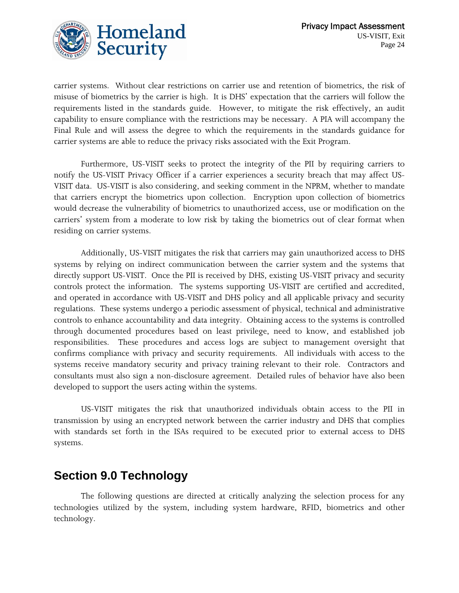

carrier systems. Without clear restrictions on carrier use and retention of biometrics, the risk of misuse of biometrics by the carrier is high. It is DHS' expectation that the carriers will follow the requirements listed in the standards guide. However, to mitigate the risk effectively, an audit capability to ensure compliance with the restrictions may be necessary. A PIA will accompany the Final Rule and will assess the degree to which the requirements in the standards guidance for carrier systems are able to reduce the privacy risks associated with the Exit Program.

Furthermore, US-VISIT seeks to protect the integrity of the PII by requiring carriers to notify the US-VISIT Privacy Officer if a carrier experiences a security breach that may affect US-VISIT data. US-VISIT is also considering, and seeking comment in the NPRM, whether to mandate that carriers encrypt the biometrics upon collection. Encryption upon collection of biometrics would decrease the vulnerability of biometrics to unauthorized access, use or modification on the carriers' system from a moderate to low risk by taking the biometrics out of clear format when residing on carrier systems.

 Additionally, US-VISIT mitigates the risk that carriers may gain unauthorized access to DHS systems by relying on indirect communication between the carrier system and the systems that directly support US-VISIT. Once the PII is received by DHS, existing US-VISIT privacy and security controls protect the information. The systems supporting US-VISIT are certified and accredited, and operated in accordance with US-VISIT and DHS policy and all applicable privacy and security regulations. These systems undergo a periodic assessment of physical, technical and administrative controls to enhance accountability and data integrity. Obtaining access to the systems is controlled through documented procedures based on least privilege, need to know, and established job responsibilities. These procedures and access logs are subject to management oversight that confirms compliance with privacy and security requirements. All individuals with access to the systems receive mandatory security and privacy training relevant to their role. Contractors and consultants must also sign a non-disclosure agreement. Detailed rules of behavior have also been developed to support the users acting within the systems.

 US-VISIT mitigates the risk that unauthorized individuals obtain access to the PII in transmission by using an encrypted network between the carrier industry and DHS that complies with standards set forth in the ISAs required to be executed prior to external access to DHS systems.

### **Section 9.0 Technology**

 The following questions are directed at critically analyzing the selection process for any technologies utilized by the system, including system hardware, RFID, biometrics and other technology.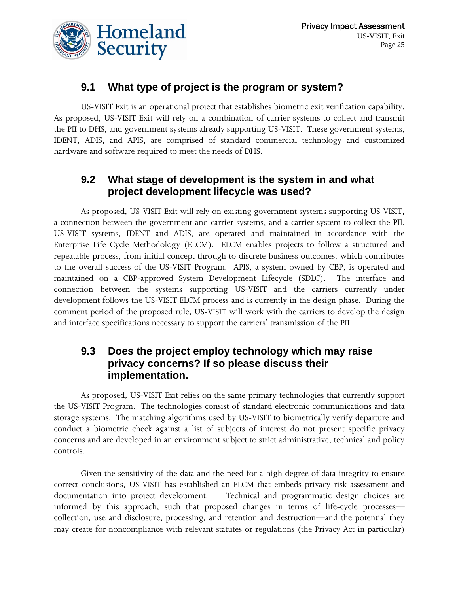

#### **9.1 What type of project is the program or system?**

 US-VISIT Exit is an operational project that establishes biometric exit verification capability. As proposed, US-VISIT Exit will rely on a combination of carrier systems to collect and transmit the PII to DHS, and government systems already supporting US-VISIT. These government systems, IDENT, ADIS, and APIS, are comprised of standard commercial technology and customized hardware and software required to meet the needs of DHS.

#### **9.2 What stage of development is the system in and what project development lifecycle was used?**

 As proposed, US-VISIT Exit will rely on existing government systems supporting US-VISIT, a connection between the government and carrier systems, and a carrier system to collect the PII. US-VISIT systems, IDENT and ADIS, are operated and maintained in accordance with the Enterprise Life Cycle Methodology (ELCM). ELCM enables projects to follow a structured and repeatable process, from initial concept through to discrete business outcomes, which contributes to the overall success of the US-VISIT Program. APIS, a system owned by CBP, is operated and maintained on a CBP-approved System Development Lifecycle (SDLC). The interface and connection between the systems supporting US-VISIT and the carriers currently under development follows the US-VISIT ELCM process and is currently in the design phase. During the comment period of the proposed rule, US-VISIT will work with the carriers to develop the design and interface specifications necessary to support the carriers' transmission of the PII.

#### **9.3 Does the project employ technology which may raise privacy concerns? If so please discuss their implementation.**

 As proposed, US-VISIT Exit relies on the same primary technologies that currently support the US-VISIT Program. The technologies consist of standard electronic communications and data storage systems. The matching algorithms used by US-VISIT to biometrically verify departure and conduct a biometric check against a list of subjects of interest do not present specific privacy concerns and are developed in an environment subject to strict administrative, technical and policy controls.

 Given the sensitivity of the data and the need for a high degree of data integrity to ensure correct conclusions, US-VISIT has established an ELCM that embeds privacy risk assessment and documentation into project development. Technical and programmatic design choices are informed by this approach, such that proposed changes in terms of life-cycle processes collection, use and disclosure, processing, and retention and destruction—and the potential they may create for noncompliance with relevant statutes or regulations (the Privacy Act in particular)